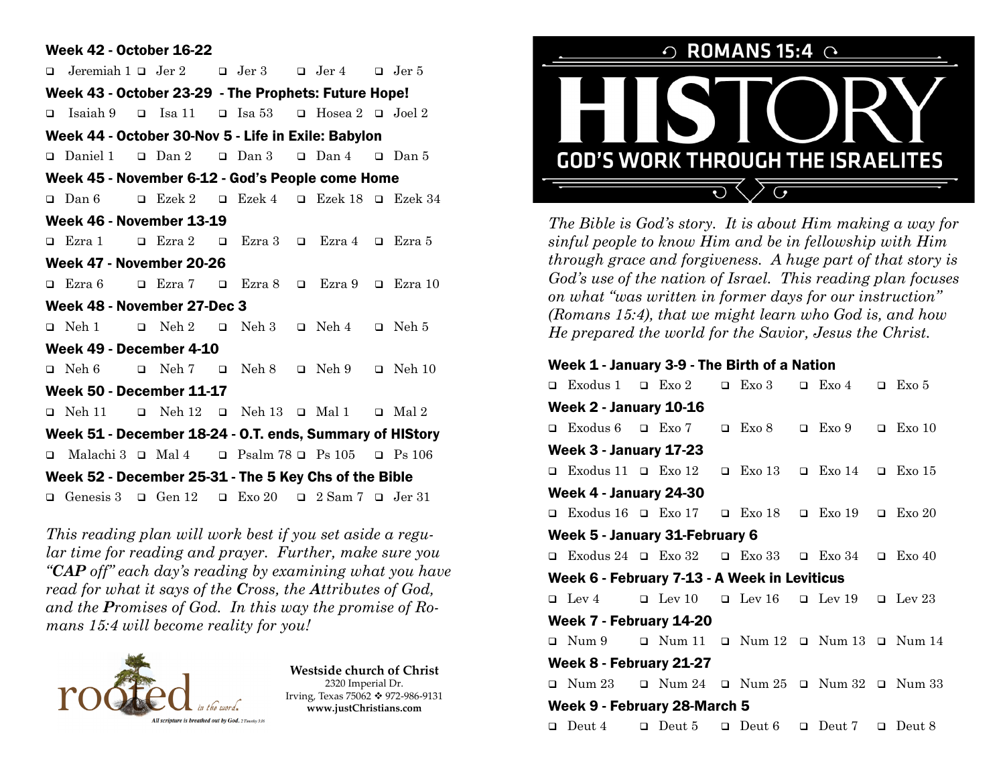## Week 42 - October 16-22

 $\Box$  Jeremiah 1  $\Box$  Jer 2  $\Box$  Jer 3  $\Box$  Jer 4  $\Box$  Jer 5 Week 43 - October 23-29 - The Prophets: Future Hope! **q** Isaiah 9 **q** Isa 11 **q** Isa 53 **q** Hosea 2 **q** Joel 2 Week 44 - October 30-Nov 5 - Life in Exile: Babylon  $\Box$  Daniel 1  $\Box$  Dan 2  $\Box$  Dan 3  $\Box$  Dan 4  $\Box$  Dan 5 Week 45 - November 6-12 - God's People come Home  $\Box$  Dan 6  $\Box$  Ezek 2  $\Box$  Ezek 4  $\Box$  Ezek 18  $\Box$  Ezek 34 Week 46 - November 13-19  $\Box$  Ezra 1  $\Box$  Ezra 2  $\Box$  Ezra 3  $\Box$  Ezra 4  $\Box$  Ezra 5 Week 47 - November 20-26  $\Box$  Ezra 6  $\Box$  Ezra 7  $\Box$  Ezra 8  $\Box$  Ezra 9  $\Box$  Ezra 10 Week 48 - November 27-Dec 3  $\Box$  Neh 1  $\Box$  Neh 2  $\Box$  Neh 3  $\Box$  Neh 4  $\Box$  Neh 5 Week 49 - December 4-10  $\Box$  Neh 6  $\Box$  Neh 7  $\Box$  Neh 8  $\Box$  Neh 9  $\Box$  Neh 10 Week 50 - December 11-17  $\Box$  Neh 11  $\Box$  Neh 12  $\Box$  Neh 13  $\Box$  Mal 1  $\Box$  Mal 2 Week 51 - December 18-24 - O.T. ends, Summary of HIStory  $\Box$  Malachi 3  $\Box$  Mal 4  $\Box$  Psalm 78  $\Box$  Ps 105  $\Box$  Ps 106 Week 52 - December 25-31 - The 5 Key Chs of the Bible q Genesis  $3 \square$  Gen  $12 \square$  Exo  $20 \square$  2 Sam  $7 \square$  Jer  $31$ 

*This reading plan will work best if you set aside a regular time for reading and prayer. Further, make sure you "CAP off" each day's reading by examining what you have read for what it says of the Cross, the Attributes of God, and the Promises of God. In this way the promise of Romans 15:4 will become reality for you!*



**Westside church of Christ** 2320 Imperial Dr. Irving, Texas 75062 ❖ 972-986-9131 **www.justChristians.com**



*The Bible is God's story. It is about Him making a way for sinful people to know Him and be in fellowship with Him through grace and forgiveness. A huge part of that story is God's use of the nation of Israel. This reading plan focuses on what "was written in former days for our instruction" (Romans 15:4), that we might learn who God is, and how He prepared the world for the Savior, Jesus the Christ.*

## Week 1 - January 3-9 - The Birth of a Nation

 $\Box$  Exodus 1  $\Box$  Exo 2  $\Box$  Exo 3  $\Box$  Exo 4  $\Box$  Exo 5 Week 2 - January 10-16  $\Box$  Exodus 6  $\Box$  Exo 7  $\Box$  Exo 8  $\Box$  Exo 9  $\Box$  Exo 10 Week 3 - January 17-23  $\Box$  Exodus 11  $\Box$  Exo 12  $\Box$  Exo 13  $\Box$  Exo 14  $\Box$  Exo 15 Week 4 - January 24-30  $\Box$  Exodus 16  $\Box$  Exo 17  $\Box$  Exo 18  $\Box$  Exo 19  $\Box$  Exo 20 Week 5 - January 31-February 6  $\Box$  Exodus 24  $\Box$  Exo 32  $\Box$  Exo 33  $\Box$  Exo 34  $\Box$  Exo 40 Week 6 - February 7-13 - A Week in Leviticus  $Q$  Lev 4  $Q$  Lev 10  $Q$  Lev 16  $Q$  Lev 19  $Q$  Lev 23 Week 7 - February 14-20  $\Box$  Num 9  $\Box$  Num 11  $\Box$  Num 12  $\Box$  Num 13  $\Box$  Num 14 Week 8 - February 21-27  $\Box$  Num 23  $\Box$  Num 24  $\Box$  Num 25  $\Box$  Num 32  $\Box$  Num 33 Week 9 - February 28-March 5  $\Box$  Deut 4  $\Box$  Deut 5  $\Box$  Deut 6  $\Box$  Deut 7  $\Box$  Deut 8